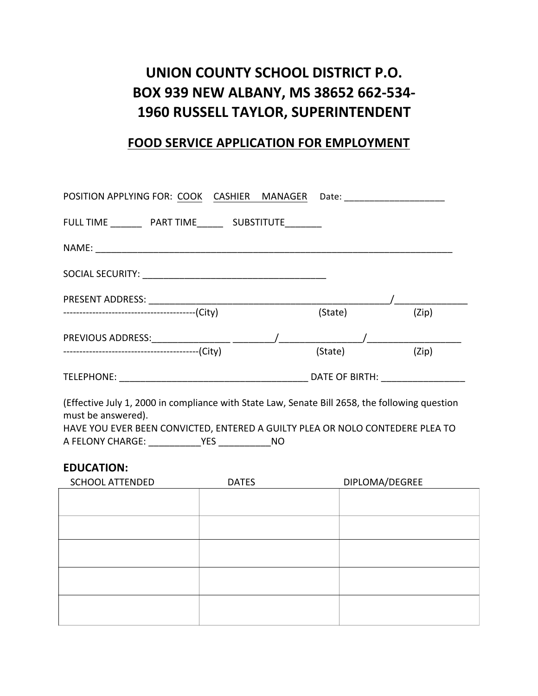## UNION COUNTY SCHOOL DISTRICT P.O. **BOX 939 NEW ALBANY, MS 38652 662-534- 1960 RUSSELL TAYLOR, SUPERINTENDENT**

## **FOOD SERVICE APPLICATION FOR EMPLOYMENT**

| POSITION APPLYING FOR: COOK CASHIER MANAGER Date: ______________________________ |  |         |                |
|----------------------------------------------------------------------------------|--|---------|----------------|
| FULL TIME ___________ PART TIME _________ SUBSTITUTE ________                    |  |         |                |
|                                                                                  |  |         |                |
|                                                                                  |  |         |                |
|                                                                                  |  |         |                |
|                                                                                  |  | (State) | (Zip)          |
|                                                                                  |  |         |                |
|                                                                                  |  | (State) | (Zip)          |
|                                                                                  |  |         | DATE OF BIRTH: |

(Effective July 1, 2000 in compliance with State Law, Senate Bill 2658, the following question must be answered).

HAVE YOU EVER BEEN CONVICTED, ENTERED A GUILTY PLEA OR NOLO CONTEDERE PLEA TO A FELONY CHARGE: \_\_\_\_\_\_\_\_\_\_\_\_\_\_YES \_\_\_\_\_\_\_\_\_\_\_\_\_\_NO

## **EDUCATION:**

| <b>SCHOOL ATTENDED</b> | <b>DATES</b> | DIPLOMA/DEGREE |
|------------------------|--------------|----------------|
|                        |              |                |
|                        |              |                |
|                        |              |                |
|                        |              |                |
|                        |              |                |
|                        |              |                |
|                        |              |                |
|                        |              |                |
|                        |              |                |
|                        |              |                |
|                        |              |                |